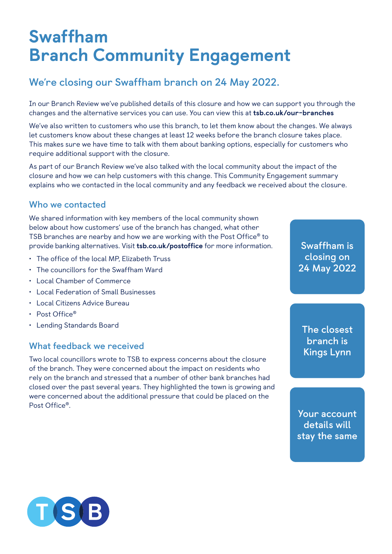# Swaffham Branch Community Engagement

## **We're closing our Swaffham branch on 24 May 2022.**

In our Branch Review we've published details of this closure and how we can support you through the changes and the alternative services you can use. You can view this at [tsb.co.uk/our-branches](http://tsb.co.uk/our-branches)

We've also written to customers who use this branch, to let them know about the changes. We always let customers know about these changes at least 12 weeks before the branch closure takes place. This makes sure we have time to talk with them about banking options, especially for customers who require additional support with the closure.

As part of our Branch Review we've also talked with the local community about the impact of the closure and how we can help customers with this change. This Community Engagement summary explains who we contacted in the local community and any feedback we received about the closure.

#### **Who we contacted**

We shared information with key members of the local community shown below about how customers' use of the branch has changed, what other TSB branches are nearby and how we are working with the Post Office® to provide banking alternatives. Visit [tsb.co.uk/postoffice](http://tsb.co.uk/postoffice) for more information.

- The office of the local MP, Elizabeth Truss
- The councillors for the Swaffham Ward
- Local Chamber of Commerce
- Local Federation of Small Businesses
- Local Citizens Advice Bureau
- Post Office®
- Lending Standards Board

#### **What feedback we received**

Two local councillors wrote to TSB to express concerns about the closure of the branch. They were concerned about the impact on residents who rely on the branch and stressed that a number of other bank branches had closed over the past several years. They highlighted the town is growing and were concerned about the additional pressure that could be placed on the Post Office®.

**Swaffham is closing on 24 May 2022**

**The closest branch is Kings Lynn**

**Your account details will stay the same**